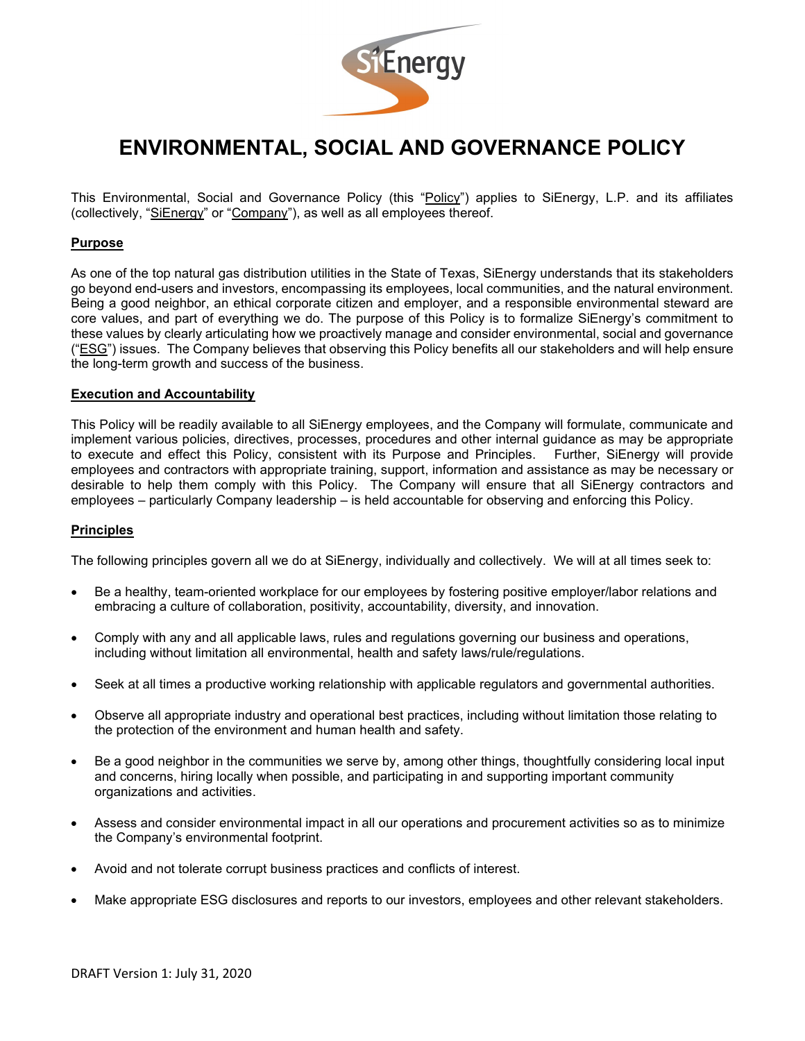

# **ENVIRONMENTAL, SOCIAL AND GOVERNANCE POLICY**

This Environmental, Social and Governance Policy (this "Policy") applies to SiEnergy, L.P. and its affiliates (collectively, "SiEnergy" or "Company"), as well as all employees thereof.

## **Purpose**

As one of the top natural gas distribution utilities in the State of Texas, SiEnergy understands that its stakeholders go beyond end-users and investors, encompassing its employees, local communities, and the natural environment. Being a good neighbor, an ethical corporate citizen and employer, and a responsible environmental steward are core values, and part of everything we do. The purpose of this Policy is to formalize SiEnergy's commitment to these values by clearly articulating how we proactively manage and consider environmental, social and governance ("ESG") issues. The Company believes that observing this Policy benefits all our stakeholders and will help ensure the long-term growth and success of the business.

#### **Execution and Accountability**

This Policy will be readily available to all SiEnergy employees, and the Company will formulate, communicate and implement various policies, directives, processes, procedures and other internal guidance as may be appropriate to execute and effect this Policy, consistent with its Purpose and Principles. Further, SiEnergy will provide employees and contractors with appropriate training, support, information and assistance as may be necessary or desirable to help them comply with this Policy. The Company will ensure that all SiEnergy contractors and employees – particularly Company leadership – is held accountable for observing and enforcing this Policy.

#### **Principles**

The following principles govern all we do at SiEnergy, individually and collectively. We will at all times seek to:

- Be a healthy, team-oriented workplace for our employees by fostering positive employer/labor relations and embracing a culture of collaboration, positivity, accountability, diversity, and innovation.
- Comply with any and all applicable laws, rules and regulations governing our business and operations, including without limitation all environmental, health and safety laws/rule/regulations.
- Seek at all times a productive working relationship with applicable regulators and governmental authorities.
- Observe all appropriate industry and operational best practices, including without limitation those relating to the protection of the environment and human health and safety.
- Be a good neighbor in the communities we serve by, among other things, thoughtfully considering local input and concerns, hiring locally when possible, and participating in and supporting important community organizations and activities.
- Assess and consider environmental impact in all our operations and procurement activities so as to minimize the Company's environmental footprint.
- Avoid and not tolerate corrupt business practices and conflicts of interest.
- Make appropriate ESG disclosures and reports to our investors, employees and other relevant stakeholders.